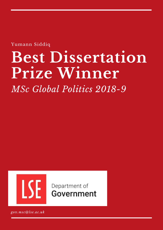Yumann Siddiq

# **Best Dissertation Prize Winner**

*MSc Global Politics 2018-9*



Department of **Government** 

*gov.msc@lse.ac.uk*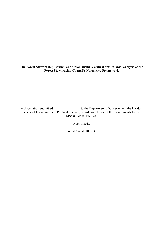**The Forest Stewardship Council and Colonialism: A critical anti-colonial analysis of the Forest Stewardship Council's Normative Framework** 

A dissertation submitted to the Department of Government, the London School of Economics and Political Science, in part completion of the requirements for the MSc in Global Politics.

August 2018

Word Count: 10, 214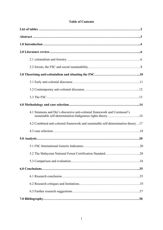# **Table of Contents**

| 4.1 Simmons and Dei's discursive anti-colonial framework and Corntassel's        |
|----------------------------------------------------------------------------------|
| 4.2 Combined anti-colonial framework and sustainable self-determination theory17 |
|                                                                                  |
|                                                                                  |
|                                                                                  |
|                                                                                  |
|                                                                                  |
|                                                                                  |
|                                                                                  |
|                                                                                  |
|                                                                                  |
|                                                                                  |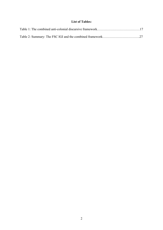## **List of Tables:**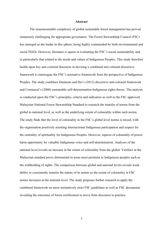## **Abstract**

The insurmountable complexity of global sustainable forest management has proved immensely challenging for appropriate governance. The Forest Stewardship Council (FSC) has emerged as the leader in this sphere, being highly commended by both environmental and social NGOs. However, literature is sparse in evaluating the FSC's social sustainability and in particularly that related to the needs and values of Indigenous Peoples. This study therefore builds upon key anti-colonial discourse in devising a combined anti-colonial discursive framework to interrogate the FSC's normative framework from the perspective of Indigenous Peoples. The study combines Simmons and Dei's (2012) discursive anti-colonial framework and Corntassel's (2008) sustainable self-determination-Indigenous rights theory. The analysis is conducted upon the FSC's principles, criteria and indicators as well as the FSC approved Malaysian National Forest Stewardship Standard to research the transfer of norms from the global to national level, as well as the underlying extent of coloniality within such norms. The study finds that the level of coloniality in the FSC's global level norms is mixed, with the organisation positively assisting intersectional Indigenous participation and respect for the centrality of spirituality for Indigenous Peoples. However, aspects of coloniality of power harm opportunity for valuable Indigenous voice and self-determination. Analyses of the national level reveals an increase in the extent of coloniality from the global. Verifiers in the Malaysian standard prove detrimental in areas most pertinent to Indigenous peoples such as the withholding of rights. The comparison between global and national levels reveals weak ability to consistently transfer the nature of its norms as the extent of coloniality in FSC norms increases at the national level. The study proposes further research to apply the combined framework on more normatively strict FSC guidelines as well as FSC documents revealing the outcomes of forest certification to move from discourse to practice.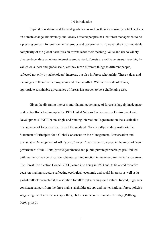## 1.0 Introduction

Rapid deforestation and forest degradation as well as their increasingly notable effects on climate change, biodiversity and locally affected peoples has led forest management to be a pressing concern for environmental groups and governments. However, the insurmountable complexity of the global narratives on forests leads their meaning, value and use to widely diverge depending on whose interest is emphasised. Forests are and have *always* been highly valued on a local and global scale, yet they mean different things to different people, reflected not only by stakeholders' interests, but also in forest scholarship. These values and meanings are therefore heterogenous and often conflict. Within this state of affairs, appropriate sustainable governance of forests has proven to be a challenging task.

Given the diverging interests, multilateral governance of forests is largely inadequate as despite efforts leading up to the 1992 United Nations Conference on Environment and Development (UNCED), no single and binding international agreement on the sustainable management of forests exists. Instead the subdued 'Non-Legally-Binding Authoritative Statement of Principles for a Global Consensus on the Management, Conservation and Sustainable Development of All Types of Forests' was made. However, in the midst of 'new governance' of the 1980s, private governance and public-private partnerships proliferated with market-driven certification schemes gaining traction in many environmental issue areas. The Forest Certification Council (FSC) came into being in 1993 and its balanced tripartite decision-making structure reflecting ecological, economic and social interests as well as its global outlook presented it as a solution for all forest meanings and values. Indeed, it garners consistent support from the three main stakeholder groups and incites national forest policies suggesting that it now even shapes the global discourse on sustainable forestry (Pattberg, 2005, p. 369).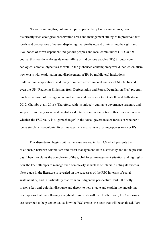Notwithstanding this, colonial empires, particularly European empires, have historically used ecological conservation areas and management strategies to preserve their ideals and perceptions of nature; displacing, marginalising and diminishing the rights and livelihoods of forest dependent Indigenous peoples and local communities (IPLCs). Of course, this was done alongside mass killing of Indigenous peoples (IPs) through nonecological colonial objectives as well. In the globalised contemporary world, neo-colonialism now exists with exploitation and displacement of IPs by multilateral institutions, multinational corporations, and many dominant environmental and social NGOs. Indeed, even the UN 'Reducing Emissions from Deforestation and Forest Degradation Plus' program has been accused of resting on colonial norms and discourses (see Cabello and Gilbertson, 2012; Chomba et al., 2016). Therefore, with its uniquely equitable governance structure and support from many social and rights-based interests and organisations, this dissertation asks whether the FSC really is a 'gamechanger' in the social governance of forests or whether it too is simply a neo-colonial forest management mechanism exerting oppression over IPs.

This dissertation begins with a literature review in Part 2.0 which presents the relationship between colonialism and forest management, both historically and in the present day. Then it explains the complexity of the global forest management situation and highlights how the FSC attempts to manage such complexity as well as scholarship noting its success. Next a gap in the literature is revealed on the successes of the FSC in terms of social sustainability, and in particularly that from an Indigenous perspective. Part 3.0 briefly presents key anti-colonial discourse and theory to help situate and explain the underlying assumptions that the following analytical framework will use. Furthermore, FSC workings are described to help contextualise how the FSC creates the texts that will be analysed. Part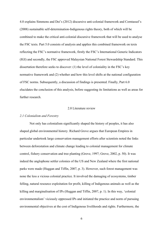4.0 explains Simmons and Dei's (2012) discursive anti-colonial framework and Corntassel's (2008) sustainable self-determination-Indigenous rights theory, both of which will be combined to make the critical anti-colonial discursive framework that will be used to analyse the FSC texts. Part 5.0 consists of analysis and applies this combined framework on texts reflecting the FSC's normative framework, firstly the FSC's International Generic Indicators (IGI) and secondly, the FSC approved Malaysian National Forest Stewardship Standard. This dissertation therefore seeks to discover: (1) the level of coloniality in the FSC's key normative framework and (2) whether and how this level shifts at the national configuration of FSC norms. Subsequently, a discussion of findings is presented. Finally, Part 6.0 elucidates the conclusion of this analysis, before suggesting its limitations as well as areas for further research.

## 2.0 Literature review

## *2.1 Colonialism and Forestry*

Not only has colonialism significantly shaped the history of peoples, it has also shaped global environmental history. Richard Grove argues that European Empires in particular undertook large conservation management efforts after scientists noted the links between deforestation and climate change leading to colonial management for climate control, fishery conservation and tree planting (Grove, 1997; Grove, 2002, p. 50). It was indeed the anglophone settler colonies of the US and New Zealand where the first national parks were made (Huggan and Tiffin, 2007, p. 3). However, such forest management was none the less a vicious colonial practice. It involved the damaging of ecosystems, timber felling, natural resource exploitation for profit, killing of Indigenous animals as well as the killing and marginalisation of IPs (Huggan and Tiffin, 2007, p. 1). In this way, 'colonial environmentalism' viciously oppressed IPs and initiated the practice and norm of pursuing environmental objectives at the cost of Indigenous livelihoods and rights. Furthermore, the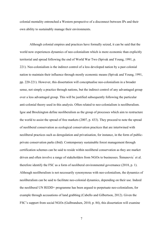colonial mentality entrenched a Western perspective of a disconnect between IPs and their own ability to sustainably manage their environments.

Although colonial empires and practices have formally seized, it can be said that the world now experiences dynamics of neo-colonialism which is more economic than explicitly territorial and spread following the end of World War Two (Spivak and Young, 1991, p. 221). Neo-colonialism is the indirect control of a less developed nation by a past colonial nation to maintain their influence through mostly economic means (Spivak and Young, 1991, pp. 220-221). However, this dissertation will conceptualise neo-colonialism in a broader sense, not simply a practice through nations, but the indirect control of any advantaged group over a less advantaged group. This will be justified subsequently following the particular anti-colonial theory used in this analysis. Often related to neo-colonialism is neoliberalism. Igoe and Brockington define neoliberalism as the group of processes which aim to restructure the world to assist the spread of free markets (2007, p. 433). They proceed to note the spread of neoliberal conservation as ecological conservation practices that are intertwined with neoliberal practices such as deregulation and privatisation, for instance, in the form of publicprivate conservation parks (ibid). Contemporary sustainable forest management through certification schemes can be said to reside within neoliberal conservation as they are market driven and often involve a range of stakeholders from NGOs to businesses. Šimunovic <sup> $\epsilon$ </sup> et al. therefore identify the FSC as a form of neoliberal environmental governance (2018, p. 1). Although neoliberalism is not necessarily synonymous with neo-colonialism, the dynamics of neoliberalism can be said to facilitate neo-colonial dynamics, depending on their use. Indeed the neoliberal UN REDD+ programme has been argued to perpetuate neo-colonialism, for example through accusations of land grabbing (Cabello and Gilbertson, 2012). Given the FSC's support from social NGOs (Gulbrandsen, 2010, p. 84), this dissertation will examine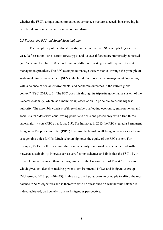whether the FSC's unique and commended governance structure succeeds in eschewing its neoliberal environmentalism from neo-colonialism.

## *2.2 Forests, the FSC and Social Sustainability*

The complexity of the global forestry situation that the FSC attempts to govern is vast. Deforestation varies across forest types and its causal factors are immensely contested (see Geist and Lambin, 2002). Furthermore, different forest types will require different management practices. The FSC attempts to manage these variables through the principle of sustainable forest management (SFM) which it defines as an ideal management "operating with a balance of social, environmental and economic outcomes in the current global context" (FSC, 2015, p. 2). The FSC does this through its tripartite governance system of the General Assembly, which, as a membership association, in principle holds the highest authority. The assembly consists of three chambers reflecting economic, environmental and social stakeholders with equal voting power and decisions passed only with a two-thirds supermajority vote (FSC a., n.d, pp. 2-3). Furthermore, in 2013 the FSC created a Permanent Indigenous Peoples committee (PIPC) to advise the board on all Indigenous issues and stand as a genuine voice for IPs. Much scholarship notes the equity of the FSC system. For example, McDermott uses a multidimensional equity framework to assess the trade-offs between sustainability interests across certification schemes and finds that the FSC's is, in principle, more balanced than the Programme for the Endorsement of Forest Certification which gives less decision-making power to environmental NGOs and Indigenous groups (McDermott, 2013, pp. 430-433). In this way, the FSC appears in principle to afford the most balance to SFM objectives and is therefore fit to be questioned on whether this balance is indeed achieved, particularly from an Indigenous perspective.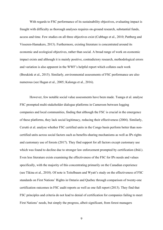With regards to FSC performance of its sustainability objectives, evaluating impact is fraught with difficulty as thorough analyses requires on-ground research, substantial funds, access and time. Few studies on all three objectives exist (Cubbage et al., 2010; Pattberg and Visseren-Hamakers, 2013). Furthermore, existing literature is concentrated around its economic and ecological objectives, rather than social. A broad range of work on economic impact exists and although it is mainly positive, contradictory research, methodological errors and variation is also apparent in the WWF's helpful report which collates such work (Breukink et al., 2015). Similarly, environmental assessments of FSC performance are also numerous (see Hagan et al., 2005; Kalonga et al., 2016).

However, few notable social value assessments have been made. Tsanga et al. analyse FSC prompted multi-stakeholder dialogue platforms in Cameroon between logging companies and local communities, finding that although the FSC is crucial in the emergence of these platforms, they lack social legitimacy, reducing their effectiveness (2004). Similarly, Cerutti et al. analyse whether FSC certified units in the Congo basin perform better than noncertified units across social factors such as benefits-sharing mechanisms as well as IPs rights and customary use of forests (2017). They find support for all factors except customary use which was found to decline due to stronger law enforcement prompted by certification (ibid.). Even less literature exists examining the effectiveness of the FSC for IPs needs and values specifically, with the majority of this concentrating primarily on the Canadian experience (see Tikina et al., 2010). Of note is Teitelbaum and Wyatt's study on the effectiveness of FSC standards on First Nations' Rights in Ontario and Quebec through comparison of twenty-one certification outcomes in FSC audit reports as well as one full report (2013). They find that FSC principles and criteria do not lead to denial of certification for companies failing to meet First Nations' needs, but simply the progress, albeit significant, from forest managers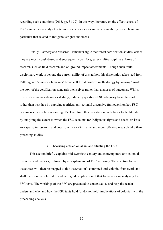regarding such conditions (2013, pp. 31-32). In this way, literature on the effectiveness of FSC standards via study of outcomes reveals a gap for social sustainability research and in particular that related to Indigenous rights and needs.

Finally, Pattberg and Visseren-Hamakers argue that forest certification studies lack as they are mostly desk-based and subsequently call for greater multi-disciplinary forms of research such as field research and on-ground impact assessments. Though such multidisciplinary work is beyond the current ability of this author, this dissertation takes lead from Pattberg and Visseren-Hamakers' broad call for alternative methodology by looking 'inside the box' of the certification standards themselves rather than analyses of outcomes. Whilst this work remains a desk-based study, it directly questions FSC adequacy from the start rather than post-hoc by applying a critical anti-colonial discursive framework on key FSC documents themselves regarding IPs. Therefore, this dissertation contributes to the literature by analysing the extent to which the FSC accounts for Indigenous rights and needs, an issuearea sparse in research, and does so with an alternative and more reflexive research take than preceding studies.

## 3.0 Theorising anti-colonialism and situating the FSC

This section briefly explains mid-twentieth century and contemporary anti-colonial discourse and theories, followed by an explanation of FSC workings. These anti-colonial discourses will then be mapped to this dissertation's combined anti-colonial framework and shall therefore be referred to and help guide application of that framework in analysing the FSC texts. The workings of the FSC are presented to contextualise and help the reader understand why and how the FSC texts hold (or do not hold) implications of coloniality in the proceeding analysis.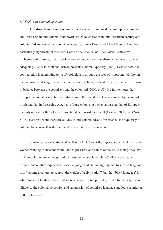#### *3.1 Early anti-colonial discourse*

This dissertation's anti-colonial critical analysis framework is built upon Simmon's and Dei's (2000) anti-colonial framework which takes lead from mid-twentieth century anticolonial and anti-racism writers. Aimé Césaire, Frantz Fanon and Albert Memmi have been particularly significant in this field. Césaire's '*Discourse on Colonialism'* states two problems with Europe, first its proletariat and second its colonialism, which it is unable to adequately justify to itself and instead presents a moral hypocrisy (2000). Césaire notes the contradiction in attempting to justify colonialism through the idea of 'imparting' civility on the colonised and suggests that such writers of this belief instead further perpetuate the power imbalance between the colonisers and the colonised (2000, p. 55). He further notes that European colonial destruction of Indigenous cultures and peoples was guided by pursuit of profit and that in foreseeing America's future colonising power surpassing that of Europe's, the only option for the colonised proletariat is to resist and revolt (Césaire, 2000, pp. 42-44, p. 78). Césaire's work therefore alludes to anti-colonial ideas of resistance, the hypocrisy of colonial logic as well as the capitalist driven nature of colonisation.

Similarly, Fanon's *'Black Skin, White Masks'* notes the experience of black men and women wanting to 'become white' due to pressures and values of the white society they live in, though failing to be recognised by those white people as white (1986). Notably, he presents the relationship between race, language and culture arguing that to speak a language is to "assume a culture, to support the weight of a civilisation", but that 'black language' in white societies holds no such civilisation (Fanon, 1986, pp. 17-18, p. 34). In this way, Fanon alludes to the colonial perception and suppression of colonised language and logic as inferior to the coloniser's.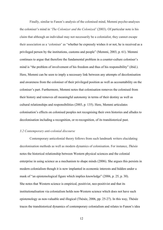Finally, similar to Fanon's analysis of the colonised mind, Memmi psycho-analyses the coloniser's mind in '*The Colonizer and the Colonized'* (2003). Of particular note is his claim that although an individual may not necessarily be a colonialist, they cannot escape their association as a 'coloniser' as "whether he expressly wishes it or not, he is received as a privileged person by the institutions, customs and people" (Memmi, 2003, p. 61). Memmi continues to argue that therefore the fundamental problem in a counter-culture coloniser's mind is "the problem of involvement of his freedom and thus of his responsibility" (ibid.). Here, Memmi can be seen to imply a necessary link between any attempts of decolonisation and awareness from the coloniser of their privileged position as well as accountability on the coloniser's part. Furthermore, Memmi notes that colonisation removes the colonised from their history and removes all meaningful autonomy in terms of their destiny as well as cultural relationships and responsibilities (2003, p. 135). Here, Memmi articulates colonisation's effects on colonised peoples not recognising their own histories and alludes to decolonisation including a recognition, or re-recognition, of its transhistorical past.

## *3.2 Contemporary anti-colonial discourse*

Contemporary anticolonial theory follows from such landmark writers elucidating decolonisation methods as well as modern dynamics of colonisation. For instance, *Thésée* notes the historical relationship between Western physical sciences and the colonial enterprise in using science as a mechanism to shape minds (2006). She argues this persists in modern colonialism though it is now implanted in economic interests and hidden under a mask of "an epistemological figure which implies knowledge" (2006, p. 25, p. 30). She notes that Western science is empirical, positivist, neo-positivist and that its institutionalisation via colonialism holds non-Western science which does not have such epistemology as non-valuable and illogical (Thésée, 2006, pp. 25-27). In this way, Thésée traces the transhistorical dynamics of contemporary colonialism and relates to Fanon's idea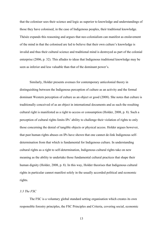that the coloniser sees their science and logic as superior to knowledge and understandings of those they have colonised, in the case of Indigenous peoples, their traditional knowledge. Thésée expands this reasoning and argues that neo-colonialism can manifest as enslavement of the mind in that the colonised are led to believe that their own culture's knowledge is invalid and thus their cultural science and traditional mind is destroyed as part of the colonial enterprise (2006, p. 32). This alludes to ideas that Indigenous traditional knowledge may be seen as inferior and less valuable than that of the dominant power's.

Similarly, Holder presents avenues for contemporary anticolonial theory in distinguishing between the Indigenous perception of culture as an activity and the formal dominant Western perception of culture as an object or good (2008). She notes that culture is traditionally conceived of as an object in international documents and as such the resulting cultural right is manifested as a right to access or consumption (Holder, 2008, p. 8). Such a perception of cultural rights limits IPs' ability to challenge their violation of rights to only those concerning the denial of tangible objects or physical access. Holder argues however, that past human rights abuses on IPs have shown that one cannot de-link Indigenous selfdetermination from that which is fundamental for Indigenous culture. In understanding cultural rights as a right to self-determination, Indigenous cultural rights take on new meaning as the ability to undertake those fundamental cultural practices that shape their human dignity (Holder, 2008, p. 8). In this way, Holder theorises that Indigenous cultural rights in particular cannot manifest solely in the usually accorded political and economic rights.

## *3.3 The FSC*

The FSC is a voluntary global standard setting organisation which creates its own responsible forestry principles, the FSC Principles and Criteria, covering social, economic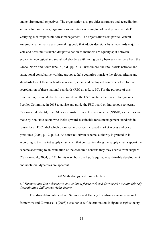and environmental objectives. The organisation also provides assurance and accreditation services for companies, organisations and States wishing to hold and present a 'label' verifying such responsible forest management. The organisation's tri-partite General Assembly is the main decision-making body that adopts decisions by a two-thirds majority vote and hosts multistakeholder participation as members are equally split between economic, ecological and social stakeholders with voting parity between members from the Global North and South (FSC a., n.d., pp. 2-3). Furthermore, the FSC assists national and subnational consultative working groups to help countries translate the global criteria and standards to suit their particular economic, social and ecological contexts before formal accreditation of these national standards (FSC a., n.d., p. 10). For the purpose of this dissertation, it should also be mentioned that the FSC created a Permanent Indigenous Peoples Committee in 2013 to advise and guide the FSC board on Indigenous concerns. Cashore et al. identify the FSC as a non-state market driven scheme (NSMD) as its rules are made by non-state actors who incite upward sustainable forest management standards in return for an FSC label which promises to provide increased market access and price premiums (2004, p. 12, p. 23). As a market-driven scheme, authority is granted to it according to the market supply chain such that companies along the supply chain support the scheme according to an evaluation of the economic benefits they may accrue from support (Cashore et al., 2004, p. 23). In this way, both the FSC's equitable sustainable development and neoliberal dynamics are apparent.

## 4.0 Methodology and case selection

## *4.1 Simmons and Dei's discursive anti-colonial framework and Corntassel's sustainable selfdetermination-Indigenous rights theory*

This dissertation utilises both Simmons and Dei's (2012) discursive anti-colonial framework and Corntassel's (2008) sustainable self-determination-Indigenous rights theory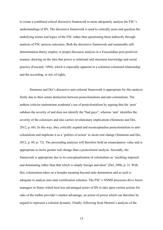to create a combined critical discursive framework to more adequately analyse the FSC's understandings of IPs. The discursive framework is used to critically asses and question the underlying norms and logics of the FSC rather than questioning them indirectly through analysis of FSC process outcomes. Both the discursive framework and sustainable selfdetermination theory employ or propel discourse analysis in a Foucauldian post-positivist manner, drawing on the idea that power is relational and structures knowledge and social practice (Foucault, 1994), which is especially apparent in a coloniser-colonised relationship and the according, or not, of rights.

Simmons and Dei's discursive anti-colonial framework is appropriate for this analysis firstly due to their astute distinction between postcolonialism and anti-colonialism. The authors criticise mainstream academia's use of postcolonialism by arguing that the 'post' subdues the severity of and does not identify the "bad guys", whereas 'anti' identifies the severity of the colonisers and also carries revolutionary implications (Simmons and Dei, 2012, p. 68). In this way, they critically expand and reconceptualise postcolonialism to anticolonialism and implicate it as a 'politics of action' to incite real change (Simmons and Dei, 2012, p. 69, p. 72). The proceeding analyses will therefore hold an emancipatory value and is appropriate to incite greater real change than a postcolonial analysis. Secondly, the framework is appropriate due to its conceptualisation of colonialism as "anything imposed and dominating rather than that which is simply foreign and alien" (Dei, 2006, p. 3). With this, colonisation takes on a broader meaning beyond state domination and as such is adequate to analyse non-state certification schemes. The FSC's NSMD processes drive forest managers in States which host less advantaged actors of IPs to take upon certain actions for sake of the timber provider's market advantage, an action of power which can therefore be argued to represent a colonial dynamic. Finally, following from Memmi's analysis of the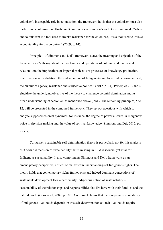coloniser's inescapable role in colonisation, the framework holds that the coloniser must also partake in decolonisation efforts. As Kempf notes of Simmon's and Dei's framework, "where anticolonialism is a tool used to invoke resistance for the colonized, it is a tool used to invoke accountability for the colonizer" (2009, p. 14).

Principle 1 of Simmons and Dei's framework states the meaning and objective of the framework as "a theory about the mechanics and operations of colonial and re-colonial relations and the implications of imperial projects on: processes of knowledge production, interrogation and validation; the understanding of Indigeneity and local Indigenousness; and, the pursuit of agency, resistance and subjective politics." (2012, p. 74). Principles 2, 3 and 4 elucidate the underlying objective of the theory to challenge colonial domination and its broad understanding of 'colonial' as mentioned above (ibid.). The remaining principles, 5 to 12, will be presented in the combined framework. They set out questions with which to analyse supposed colonial dynamics, for instance, the degree of power allowed in Indigenous voice in decision-making and the value of spiritual knowledge (Simmons and Dei, 2012, pp. 75 -77).

Corntassel's sustainable self-determination theory is particularly apt for this analysis as it adds a dimension of sustainability that is missing in SFM discourse, yet vital for Indigenous sustainability. It also compliments Simmons and Dei's framework as an emancipatory perspective, critical of mainstream understandings of Indigenous rights. The theory holds that contemporary rights frameworks and indeed dominant conceptions of sustainable development lack a particularly Indigenous notion of sustainability – sustainability of the relationships and responsibilities that IPs have with their families and the natural world (Corntassel, 2008, p. 105). Corntassel claims that the long-term sustainability of Indigenous livelihoods depends on this self-determination as such livelihoods require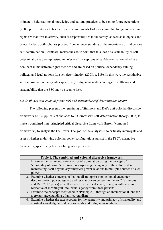intimately held traditional knowledge and cultural practices to be sent to future generations (2008, p. 118). As such, his theory also compliments Holder's claim that Indigenous cultural rights are manifest in activity, such as responsibilities to the family, as well as in objects and goods. Indeed, both scholars proceed from an understanding of the importance of Indigenous self-determination. Corntassel makes the astute point that this idea of sustainability as selfdetermination is de-emphasised in 'Western' conceptions of self-determination which are dominant in mainstream rights theories and are based on political dependency valuing political and legal notions for such determination (2008, p. 119). In this way, the sustainable self-determination theory adds specifically Indigenous understandings of wellbeing and sustainability that the FSC may be seen to lack.

## *4.2 Combined anti-colonial framework and sustainable self-determination theory*

The following presents the remaining of Simmons and Dei's anti-colonial discursive framework (2012, pp. 74-77) and adds to it Corntassel's self-determination theory (2008) to make a combined nine-principled critical discursive framework (herein 'combined framework') to analyse the FSC texts. The goal of the analyses is to critically interrogate and assess whether underlying colonial power configurations persist in the FSC's normative framework, specifically from an Indigenous perspective.

| Table 1. The combined anti-colonial discursive framework |                                                                                         |  |
|----------------------------------------------------------|-----------------------------------------------------------------------------------------|--|
|                                                          | 1. Examine the nature and extent of social domination using the concept of              |  |
|                                                          | 'coloniality of power'- of power as surpassing the agency of the colonised and          |  |
|                                                          | manifesting itself beyond asymmetrical power relations to multiple sources of such      |  |
|                                                          | power.                                                                                  |  |
|                                                          | 2. Examine whether concepts of "colonialism, oppression, colonial encounter,            |  |
|                                                          | decolonisation, power, agency and resistance can be seen in the text" (Simmons          |  |
|                                                          | and Dei, 2012, p. 75) as well as whether the local voice, if any, is authentic and      |  |
|                                                          | reflective of meaningful intellectual agency from those persons.                        |  |
|                                                          | 3. Examine the concepts mentioned in 'Principle 2' through an intersectional lens for   |  |
|                                                          | a greater understanding of anti-colonialism.                                            |  |
|                                                          | 4. Examine whether the text accounts for the centrality and primacy of spirituality and |  |
|                                                          | spiritual knowledge in Indigenous needs and Indigenous relations.                       |  |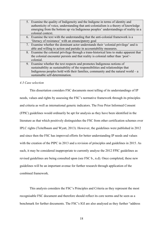5. Examine the quality of Indigeneity and the Indigene in terms of identity and authenticity of voice, understanding that anti-colonialism is a theory of knowledge emerging from the bottom up via Indigenous peoples' understandings of reality in a colonial context. 6. Examine the text with the understanding that the anti-colonial framework is a 'literacy of resistance' with an emancipatory goal 7. Examine whether the dominant actor understands their 'colonial privilege' and is able and willing to action and partake in accountability measures. 8. Examine the colonial privilege through a trans-historical lens to make apparent that the colonial encounter persists and that reality is colonial rather than 'post' colonial. 9. Examine whether the text respects and promotes Indigenous notions of sustainability as sustainability of the responsibilities and relationships that Indigenous peoples hold with their families, community and the natural world –  $a$ sustainable self-determination.

## *4.3 Case selection*

This dissertation considers FSC documents most telling of its understandings of IP needs, values and rights by assessing the FSC's normative framework through its principles and criteria as well as international generic indicators. The Free Prior Informed Consent (FPIC) guidelines would ordinarily be apt for analysis as they have been identified in the literature as that which positively distinguishes the FSC from other certification schemes over IPLC rights (Teitelbaum and Wyatt, 2013). However, the guidelines were published in 2012 and since then the FSC has improved efforts for better understanding IP needs and values with the creation of the PIPC in 2013 and a revision of principles and guidelines in 2015. As such, it may be considered inappropriate to currently analyse the 2012 FPIC guidelines as revised guidelines are being consulted upon (see FSC b., n.d). Once completed, these new guidelines will be an important avenue for further research through application of the combined framework.

This analysis considers the FSC's Principles and Criteria as they represent the most recognisable FSC document and therefore should reflect its core norms and be seen as a benchmark for further documents. The FSC's IGI are also analysed as they further "address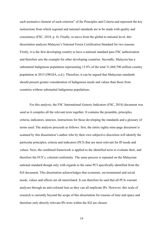each normative element of each criterion" of the Principles and Criteria and represent the key instructions from which regional and national standards are to be made with quality and consistency (FSC, 2018, p. 4). Finally, to move from the global to national level, this dissertation analyses Malaysia's National Forest Certification Standard for two reasons. Firstly, it is the first developing country to have a national standard pass FSC authorisation and therefore sets the example for other developing countries. Secondly, Malaysia has a substantial Indigenous population representing 13.8% of the total 31,660,700 million country population in 2015 (IWGIA, n.d.). Therefore, it can be argued that Malaysian standards should present greater consideration of Indigenous needs and values than those from countries without substantial Indigenous populations.

For this analysis, the FSC International Generic Indicators (FSC, 2018) document was used as it compiles all the relevant texts together. It contains the preamble, principles, criteria, indicators, annexes, instructions for those developing the standards and a glossary of terms used. The analysis proceeds as follows: first, the entire eighty-nine-page document is scanned by this dissertation's author who by their own subjective discretion will identify the particular principles, criteria and indicators (PCI) that are most relevant for IP needs and values. Next, the combined framework is applied to the identified texts to evaluate their, and therefore the FCS's, colonial conformity. The same process is repeated on the Malaysian national standard though only with regards to the same PCI specifically identified from the IGI document. This dissertation acknowledges that economic, environmental and social needs, values and effects are all interrelated. It can therefore be said that all PCIs warrant analyses through an anti-colonial lens as they can all implicate IPs. However, this scale of research is currently beyond the scope of this dissertation for reasons of time and space and therefore only directly relevant IPs texts within the IGI are chosen.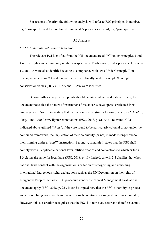For reasons of clarity, the following analysis will refer to FSC principles in number, e.g. 'principle 1', and the combined framework's principles in word, e.g. 'principle one'.

## 5.0 Analysis

#### *5.1 FSC International Generic Indicators*

The relevant PCI identified from the IGI document are all PCI under principles 3 and 4 on IPs' rights and community relations respectively. Furthermore, under principle 1, criteria 1.3 and 1.6 were also identified relating to compliance with laws. Under Principle 7 on management, criteria 7.4 and 7.6 were identified. Finally, under Principle 9 on high conservation values (HCV), HCV5 and HCV6 were identified.

Before further analysis, two points should be taken into consideration. Firstly, the document notes that the nature of instructions for standards developers is reflected in its language with *"shall"* indicating that instruction is to be strictly followed where as *"should", "may"* and *"can"* carry lighter connotations (FSC, 2018, p. 8). As all relevant PCI as indicated above utilised *"shall"*, if they are found to be particularly colonial or not under the combined framework, the implication of their coloniality (or not) is made stronger due to their framing under a *"shall"* instruction. Secondly, principle 1 states that the FSC shall comply with all applicable national laws, ratified treaties and conventions to which criteria 1.3 claims the same for local laws (FSC, 2018, p. 11). Indeed, criteria 3.4 clarifies that when national laws conflict with the organisation's criterion of recognising and upholding international Indigenous rights declarations such as the UN Declaration on the rights of Indigenous Peoples, separate FSC procedures under the 'Forest Management Evaluations' document apply (FSC, 2018, p. 25). It can be argued here that the FSC's inability to protect and enforce Indigenous needs and values in such countries is a suggestion of its coloniality. However, this dissertation recognises that the FSC is a non-state actor and therefore cannot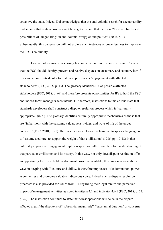act above the state. Indeed, Dei acknowledges that the anti-colonial search for accountability understands that certain issues cannot be negotiated and that therefore "there are limits and possibilities of "negotiating" in anti-colonial struggles and politics" (2006, p. 1). Subsequently, this dissertation will not explore such instances of powerlessness to implicate the FSC's coloniality.

However, other issues concerning law are apparent. For instance, criteria 1.6 states that the FSC should identify, prevent and resolve disputes on customary and statutory law if this can be done outside of a formal court process via "engagement with affected stakeholders" (FSC, 2018, p. 13). The glossary identifies IPs as possible affected stakeholders (FSC, 2018, p. 69) and therefore presents opportunities for IPs to hold the FSC and indeed forest managers accountable. Furthermore, instructions to this criteria state that standards developers shall construct a dispute resolution process which is "culturally appropriate" (ibid.). The glossary identifies culturally appropriate mechanisms as those that are "in harmony with the customs, values, sensitivities, and ways of life of the target audience" (FSC, 2018, p. 71). Here one can recall Fanon's claim that to speak a language is to "assume a culture, to support the weight of that civilisation" (1986, pp. 17-18) in that culturally appropriate engagement implies respect for culture and therefore understanding of that particular civilisation and its history. In this way, not only does dispute resolution offer an opportunity for IPs to hold the dominant power accountable, this process is available in ways in keeping with IP culture and ability. It therefore implicates little domination, power asymmetries and promotes valuable indigenous voice. Indeed, such a dispute resolution processes is also provided for issues from IPs regarding their legal tenure and perceived impact of management activities as noted in criteria 4.1 and indicator 4.6.1 (FSC, 2018, p. 27, p. 29). The instruction continues to state that forest operations will seize in the dispute affected area if the dispute is of "substantial magnitude", "substantial duration" or concerns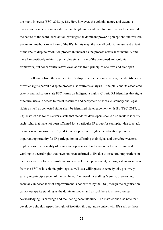too many interests (FSC, 2018, p. 13). Here however, the colonial nature and extent is unclear as these terms are not defined in the glossary and therefore one cannot be certain if the nature of the word 'substantial' privileges the dominant power's perceptions and western evaluation methods over those of the IPs. In this way, the overall colonial nature and extent of the FSC's dispute resolution process in unclear as the process offers accountability and therefore positively relates to principles six and one of the combined anti-colonial framework, but concurrently leaves evaluations from principles one, two and five open.

Following from the availability of a dispute settlement mechanism, the identification of which rights permit a dispute process also warrants analysis. Principle 3 and its associated criteria and indicators state FSC norms on Indigenous rights. Criteria 3.1 identifies that rights of tenure, use and access to forest resources and ecosystem services, customary and legal rights as well as contested rights shall be identified via engagement with IPs (FSC, 2018, p. 23). Instructions for this criteria state that standards developers should also work to identify such rights that have not been affirmed for a particular IP group for example, "due to a lack awareness or empowerment" (ibid.). Such a process of rights identification provides important opportunity for IP participation in affirming their rights and therefore weakens implications of coloniality of power and oppression. Furthermore, acknowledging and working to accord rights that have not been affirmed to IPs due to structural implications of their societally colonised positions, such as lack of empowerment, can suggest an awareness from the FSC of its colonial privilege as well as a willingness to remedy this, positively satisfying principle seven of the combined framework. Recalling Memmi, pre-existing societally imposed lack of empowerment is not caused by the FSC, though the organisation cannot escape its standing as the dominant power and as such here it is the coloniser acknowledging its privilege and facilitating accountability. The instructions also note that developers should respect the right of isolation through non-contact with IPs such as those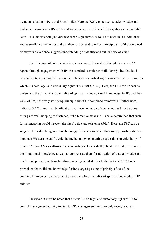living in isolation in Peru and Brazil (ibid). Here the FSC can be seen to acknowledge and understand variation in IPs needs and wants rather than view all IPs together as a monolithic actor. This understanding of variance accords greater voice to IPs as a whole, as individuals and as smaller communities and can therefore be said to reflect principle six of the combined framework as variance suggests understanding of identity and authenticity of voice.

Identification of cultural sites is also accounted for under Principle 3, criteria 3.5. Again, through engagement with IPs the standards developer shall identify sites that hold "special cultural, ecological, economic, religious or spiritual significance" as well as those for which IPs hold legal and customary rights (FSC, 2018, p. 26). Here, the FSC can be seen to understand the primacy and centrality of spirituality and spiritual knowledge for IPs and their ways of life, positively satisfying principle six of the combined framework. Furthermore, indicator 3.5.2 states that identification and documentation of such sites need not be done through formal mapping for instance, but alternative means if IPs have determined that such formal mapping would threaten the sites' value and existence (ibid.). Here, the FSC can be suggested to value Indigenous methodology in its actions rather than simply positing its own dominant Western-scientific colonial methodology, countering suggestions of coloniality of power. Criteria 3.6 also affirms that standards developers shall uphold the right of IPs to use their traditional knowledge as well as compensate them for utilisation of that knowledge and intellectual property with such utilisation being decided prior to the fact via FPIC. Such provisions for traditional knowledge further suggest passing of principle four of the combined framework on the protection and therefore centrality of spiritual knowledge in IP cultures.

However, it must be noted that criteria 3.2 on legal and customary rights of IPs to control management activity related to FSC management units are only recognised and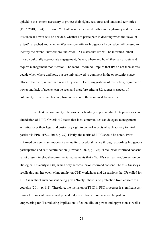upheld to the "extent necessary to protect their rights, resources and lands and territories" (FSC, 2018, p. 24). The word "extent" is not elucidated further in the glossary and therefore it is unclear how it will be decided, whether IPs participate in deciding when the 'level of extent' is reached and whether Western scientific or Indigenous knowledge will be used to identify the extent. Furthermore, indicator 3.2.1 states that IPs will be informed, albeit through culturally appropriate engagement, "when, where and how" they can dispute and request management modification. The word 'informed' implies that IPs do not themselves decide when where and how, but are only allowed to comment in the opportunity space allocated to them, rather than when they see fit. Here, suggestions of restriction, asymmetric power and lack of agency can be seen and therefore criteria 3.2 suggests aspects of coloniality from principles one, two and seven of the combined framework.

Principle 4 on community relations is particularly important due to its provisions and elucidation of FPIC. Criteria 4.2 states that local communities can delegate management activities over their legal and customary right to control aspects of such activity to third parties via FPIC (FSC, 2018, p. 27). Firstly, the merits of FPIC should be noted. Prior informed consent is an important avenue for procedural justice through according Indigenous participation and self-determination (Firestone, 2003, p. 176). 'Free' prior informed consent is not present in global environmental agreements that affect IPs such as the Convention on Biological Diversity (CBD) which only accords 'prior informed consent'. To this, Suiseeya recalls through her event ethnography on CBD workshops and discussions that IPs called for FPIC as without such consent being given 'freely', there is no protection from consent via coercion (2014, p. 111). Therefore, the inclusion of FPIC in FSC processes is significant as it makes the consent process and procedural justice frame more accessible, just and empowering for IPs, reducing implications of coloniality of power and oppression as well as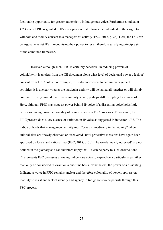facilitating opportunity for greater authenticity in Indigenous voice. Furthermore, indicator 4.2.4 states FPIC is granted to IPs via a process that informs the individual of their right to withhold and modify consent to a management activity (FSC, 2018, p. 28). Here, the FSC can be argued to assist IPs in recognising their power to resist, therefore satisfying principle six of the combined framework.

However, although such FPIC is certainly beneficial in reducing powers of coloniality, it is unclear from the IGI document alone what level of decisional power a lack of consent from FPIC holds. For example, if IPs do not consent to certain management activities, it is unclear whether the particular activity will be halted all together or will simply continue directly around that IPs community's land, perhaps still disrupting their ways of life. Here, although FPIC may suggest power behind IP voice, if a dissenting voice holds little decision-making power, coloniality of power persists in FSC processes. To a degree, the FPIC process does allow a sense of variation in IP voice as suggested in indicator 4.7.3. The indicator holds that management activity must "cease immediately in the vicinity" when cultural sites are "newly observed or discovered" until protective measures have again been approved by locals and national law (FSC, 2018, p. 30). The words "newly observed" are not defined in the glossary and can therefore imply that IPs can be party to such observations. This presents FSC processes allowing Indigenous voice to expand on a particular area rather than only be considered relevant on a one-time basis. Nonetheless, the power of a dissenting Indigenous voice in FPIC remains unclear and therefore coloniality of power, oppression, inability to resist and lack of identity and agency in Indigenous voice persists through this FSC process.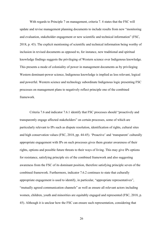With regards to Principle 7 on management, criteria 7.4 states that the FSC will update and revise management planning documents to include results from new "monitoring and evaluation, stakeholder engagement or new scientific and technical information" (FSC, 2018, p. 43). The explicit mentioning of scientific and technical information being worthy of inclusion in revised documents as opposed to, for instance, new traditional and spiritual knowledge findings suggests the privileging of Western science over Indigenous knowledge. This presents a mode of coloniality of power in management documents as by privileging Western dominant-power science, Indigenous knowledge is implied as less relevant, logical and powerful. Western science and technology subordinate Indigenous logic presenting FSC processes on management plans to negatively reflect principle one of the combined framework.

Criteria 7.6 and indicator 7.6.1 identify that FSC processes should "proactively and transparently engage affected stakeholders" on certain processes, some of which are particularly relevant to IPs such as dispute resolution, identification of rights, cultural sites and high conservation values (FSC, 2018, pp. 44-45). 'Proactive' and 'transparent' culturally appropriate engagement with IPs on such processes gives them greater awareness of their rights, options and possible future threats to their ways of living. This may give IPs options for resistance, satisfying principle six of the combined framework and also suggesting awareness from the FSC of its dominant position, therefore satisfying principle seven of the combined framework. Furthermore, indicator 7.6.2 continues to state that culturally appropriate engagement is used to identify, in particular, "appropriate representatives", "mutually agreed communication channels" as well as ensure all relevant actors including women, children, youth and minorities are equitably engaged and represented (FSC, 2018, p. 45). Although it is unclear how the FSC can ensure such representation, considering that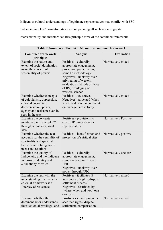Indigenous cultural understandings of legitimate representatives may conflict with FSC understanding, FSC normative statement on pursuing all such actors suggests

intersectionality and therefore satisfies principle three of the combined framework.

**Table 2. Summary: The FSC IGI and the combined framework Combined framework principles Analysis Evaluation** Examine the nature and extent of social domination using the concept of 'coloniality of power' Positives - culturally appropriate engagement, procedural participation, some IP methodology. Negatives - unclarity over privileging of western evaluation methods or those of IPs, privileging of western science. Normatively mixed Examine whether concepts of colonialism, oppression, colonial encounter, decolonisation, power, agency and resistance can be seen in the text Positives - see above. Negatives - allocated 'when where and how' to comment on management activity. Normatively mixed Examine the concepts mentioned in 'Principle 2' through an intersectional lens Positives - provisions to ensure IP minority actor representation. Normatively Positive Examine whether the text accounts for the centrality of spirituality and spiritual knowledge in Indigenous needs and relations Positives - identification and protection of spiritual sites. Normatively positive Examine the quality of Indigeneity and the Indigene in terms of identity and authenticity of voice Positives - culturally appropriate engagement, some variance in IP voice, FPIC. Negatives - unclarity over power through FPIC. Normatively unclear Examine the text with the understanding that the anticolonial framework is a 'literacy of resistance' Positives - facilitates IP awareness of rights, dispute settlement process. Negatives - restricted by 'where, when and how' one can resist. Normatively mixed Examine whether the dominant actor understands their 'colonial privilege' and Positives - identifying nonaccorded rights, dispute settlement, compensation. Normatively mixed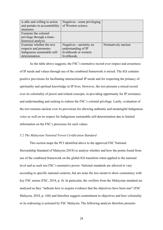| is able and willing to action | Negatives - some privileging |                     |
|-------------------------------|------------------------------|---------------------|
| and partake in accountability | of Western science.          |                     |
| measures.                     |                              |                     |
| Examine the colonial          |                              |                     |
| privilege through a trans-    |                              |                     |
| historical analysis           |                              |                     |
| Examine whether the text      | Negatives - unclarity on     | Normatively unclear |
| respects and promotes         | understanding of IP          |                     |
| Indigenous sustainable self-  | livelihoods or western       |                     |
| determination.                | livelihoods.                 |                     |

As the table above suggests, the FSC's normative record over respect and awareness of IP needs and values through use of the combined framework is mixed. The IGI contains positive provisions for facilitating intersectional IP needs and for respecting the primacy of spirituality and spiritual knowledge in IP lives. However, the text presents a mixed record over its coloniality of power and related concepts, in providing opportunity for IP resistance and understanding and seeking to redress the FSC's colonial privilege. Lastly, evaluation of the text remains unclear over its provisions for allowing authentic and meaningful Indigenous voice as well on its respect for Indigenous sustainable self-determination due to limited information on the FSC's processes for such values.

### *5.2 The Malaysian National Forest Certification Standard*

This section maps the PCI identified above to the approved FSC National Stewardship Standard of Malaysia (2018) to analyse whether and how the points found from use of the combined framework on the global IGI transform when applied to the national level and as such test FSC's normative power. National standards are allowed to vary according to specific national contexts, but are none the less meant to show consistency with key FSC norms (FSC, 2018, p. 4). In particular, the verifiers from the Malaysian standard are analysed as they "indicate how to acquire evidence that the objectives have been met" (FSC Malaysia, 2018, p. 168) and therefore suggest commitment to objectives and how coloniality or its redressing is actioned by FSC Malaysia. The following analysis therefore presents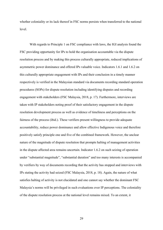whether coloniality or its lack thereof in FSC norms persists when transferred to the national level.

With regards to Principle 1 on FSC compliance with laws, the IGI analysis found the FSC providing opportunity for IPs to hold the organisation accountable via the dispute resolution process and by making this process culturally appropriate, reduced implications of asymmetric power dominance and offered IPs valuable voice. Indicators 1.6.1 and 1.6.2 on this culturally appropriate engagement with IPs and their conclusion in a timely manner respectively is verified in the Malaysian standard via documents recording standard operation procedures (SOPs) for dispute resolution including identifying disputes and recording engagement with stakeholders (FSC Malaysia, 2018, p. 17). Furthermore, interviews are taken with IP stakeholders noting proof of their satisfactory engagement in the dispute resolution development process as well as evidence of timeliness and perceptions on the fairness of the process (ibid.). These verifiers present willingness to provide adequate accountability, reduce power dominance and allow effective Indigenous voice and therefore positively satisfy principle one and five of the combined framework. However, the unclear nature of the magnitude of dispute resolution that prompts halting of management activities in the dispute affected area remains uncertain. Indicator 1.6.2 on such seizing of operation under "substantial magnitude", "substantial duration" and too many interests is accompanied by verifiers by way of documents recording that the activity has stopped and interviews with IPs stating the activity had seized (FSC Malaysia, 2018, p. 18). Again, the nature of what satisfies halting of activity is not elucidated and one cannot say whether the dominant FSC Malaysia's norms will be privileged in such evaluations over IP perceptions. The coloniality of the dispute resolution process at the national level remains mixed. To an extent, it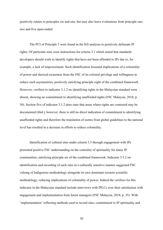positively relates to principles six and one, but may also leave evaluations from principle one, two and five open-ended.

The PCI of Principle 3 were found in the IGI analyses to positively delineate IP rights. Of particular note were instructions for criteria 3.1 which stated that standards developers should work to identify rights that have not been afforded to IPs due to, for example, a lack of empowerment. Such identification lessened implications of a coloniality of power and showed awareness from the FSC of its colonial privilege and willingness to reduce such asymmetries, positively satisfying principle eight of the combined framework. However, verifiers to indicator 3.1.2 on identifying rights in the Malaysian standard were absent, showing no commitment to identifying unafforded rights (FSC Malaysia, 2018, p. 30). Section five of indicator 3.1.2 does state that areas where rights are contested may be documented (ibid.), however, there is still no direct indication of commitment to identifying unafforded rights and therefore the translation of norms from global guidelines to the national level has resulted in a decrease in efforts to reduce coloniality.

Identification of cultural sites under criteria 3.5 through engagement with IPs presented positive FSC understanding on the centrality of spirituality for many IP communities, satisfying principle six of the combined framework. Indicator 3.5.2 on identification and recording of such sites in a culturally sensitive manner suggested FSC valuing of Indigenous methodology alongside its own dominant western scientific methodology, reducing implications of coloniality of power. Indeed the verifiers for this indicator in the Malaysian standard include interviews with IPLCs over their satisfaction with engagement and implementation from forest managers (FSC Malaysia, 2018, p. 35). With 'implementation' reflecting methods used to record sites, commitment to IP spirituality and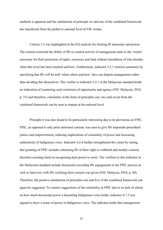methods is apparent and the satisfaction of principle six and one of the combined framework has transferred from the global to national level of FSC norms.

Criteria 3.2 was highlighted in the IGI analysis for limiting IP autonomy and power. The criteria restricted the ability of IPs to control activity of management units to the 'extent' necessary for their protection of rights, resources and land without elucidation of who decides when this level has been reached and how. Furthermore, indicator 3.2.1 restricts autonomy by specifying that IPs will be told 'when where and how' they can dispute management rather than deciding this themselves. The verifier to indicator 3.2.1 in the Malaysian standard holds no indication of countering such restriction of opportunity and agency (FSC Malaysia, 2018, p. 31) and therefore, coloniality in the form of principles one, two and seven from the combined framework can be seen to remain at the national level.

Principle 4 was also found to be particularly interesting due to its provisions on FPIC. FPIC, as opposed to only prior informed consent, was seen to give IPs important procedural justice and empowerment, reducing implications of coloniality of power and increasing authenticity of Indigenous voice. Indicator 4.2.4 further strengthened this claim by stating that granting of FPIC includes informing IPs of their right to withhold and modify consent, therefore assisting them in recognising their power to resist. The verifiers to this indicator in the Malaysian standard include documents recording IPs engagement in the FPIC process as well as interview with IPs verifying their consent was given (FSC Malaysia, 2018, p. 40). Therefore, the positive satisfaction of principles one and five of the combined framework can again be suggested. To counter suggestions of the coloniality in FPIC due to its lack of clarity on how much decisional power a dissenting Indigenous voice holds, indicator 4.7.3 was argued to show a sense of power in Indigenous voice. The indicator holds that management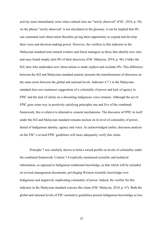activity must immediately seize when cultural sites are "newly observed" (FSC, 2018, p. 30). As the phrase "newly observed" is not elucidated in the glossary, it can be implied that IPs can command such observation therefore giving them opportunity to expand and develop their voice and decision-making power. However, the verifiers to this indicator in the Malaysian standard note trained workers and forest managers as those that identify new sites and once found simply alert IPs of their discovery (FSC Malaysia, 2018, p. 44). Unlike the IGI, here who undertakes new observations is made explicit and excludes IPs. This difference between the IGI and Malaysian standard astutely presents the transformation of discourse on the same norm between the global and national levels. Indicator 4.7.3 in the Malaysian standard does not counteract suggestions of a coloniality of power and lack of agency in FPIC and the lack of clarity on a dissenting indigenous voice remains. Although the act of FPIC goes some way in positively satisfying principles one and five of the combined framework, this is relative to alternative consent mechanisms. The discourse of FPIC in itself under the IGI and Malaysian standard remains unclear on its level of coloniality of power, denial of Indigenous identity, agency and voice. As acknowledged earlier, discourse analysis on the FSC's revised FPIC guidelines will more adequately verify this claim.

Principle 7 was similarly shown to hold a mixed profile on levels of coloniality under the combined framework. Criteria 7.4 explicitly mentioned scientific and technical information, as opposed to Indigenous traditional knowledge, as that which will be included on revised management documents, privileging Western scientific knowledge over Indigenous and negatively implicating coloniality of power. Indeed, the verifier for this indicator in the Malaysian standard concurs this claim (FSC Malaysia, 2018, p. 67). Both the global and national levels of FSC normative guidelines present Indigenous knowledge as less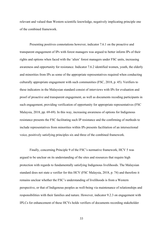relevant and valued than Western scientific knowledge, negatively implicating principle one of the combined framework.

Presenting positives connotations however, indicator 7.6.1 on the proactive and transparent engagement of IPs with forest managers was argued to better inform IPs of their rights and options when faced with the 'alien' forest managers under FSC units, increasing awareness and opportunity for resistance. Indicator 7.6.2 identified women, youth, the elderly and minorities from IPs as some of the appropriate representatives required when conducting culturally appropriate engagement with such communities (FSC, 2018, p. 45). Verifiers to these indicators in the Malaysian standard consist of interviews with IPs for evaluation and proof of proactive and transparent engagement, as well as documents recoding participants in such engagement, providing verification of opportunity for appropriate representatives (FSC Malaysia, 2018, pp. 69-69). In this way, increasing awareness of options for Indigenous resistance presents the FSC facilitating such IP resistance and the confirming of methods to include representatives from minorities within IPs presents facilitation of an intersectional voice, positively satisfying principles six and three of the combined framework.

Finally, concerning Principle 9 of the FSC's normative framework, HCV 5 was argued to be unclear on its understanding of the sites and resources that require high protection with regards to fundamentally satisfying Indigenous livelihoods. The Malaysian standard does not state a verifier for this HCV (FSC Malaysia, 2018, p. 74) and therefore it remains unclear whether the FSC's understanding of livelihoods is from a Western perspective, or that of Indigenous peoples as well-being via maintenance of relationships and responsibilities with their families and nature. However, indicator 9.2.3 on engagement with IPLCs for enhancement of these HCVs holds verifiers of documents recording stakeholder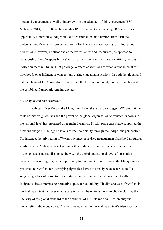input and engagement as well as interviews on the adequacy of this engagement (FSC Malaysia, 2018, p. 76). It can be said that IP involvement in enhancing HCVs provides opportunity to introduce Indigenous self-determination and therefore transform the understanding from a western perception of livelihoods and well-being to an Indigenous perception. However, implications of the words 'sites' and 'resources', as opposed to 'relationships' and 'responsibilities' remain. Therefore, even with such verifiers, there is no indication that the FSC will not privilege Western conceptions of what is fundamental for livelihoods over Indigenous conceptions during engagement sessions. In both the global and national level of FSC normative frameworks, the level of coloniality under principle eight of the combined framework remains unclear.

## *5.3 Comparison and evaluation*

Analyses of verifiers in the Malaysian National Standard to suggest FSC commitment to its normative guidelines and the power of the global organisation to transfer its norms to the national level has presented three main dynamics. Firstly, some cases have supported the previous analysis' findings on levels of FSC coloniality through the Indigenous perspective. For instance, the privileging of Western science in revised management plans held no further verifiers in the Malaysian text to counter this finding. Secondly however, other cases presented a substantial disconnect between the global and national level of normative frameworks resulting in greater opportunity for coloniality. For instance, the Malaysian text presented no verifiers for identifying rights that have not already been accorded to IPs suggesting a lack of normative commitment to this standard which is a specifically Indigenous issue, increasing normative space for coloniality. Finally, analysis of verifiers in the Malaysian text also presented a case in which the national norm explicitly clarifies the unclarity of the global standard to the detriment of FSC claims of anti-coloniality via meaningful Indigenous voice. This became apparent in the Malaysian text's identification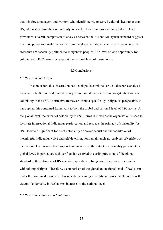that it is forest managers and workers who identify newly observed cultural sites rather than IPs, who instead lose their opportunity to develop their opinions and knowledge in FSC provisions. Overall, comparison of analysis between the IGI and Malaysian standard suggests that FSC power to transfer its norms from the global to national standards is weak in some areas that are especially pertinent to Indigenous peoples. The level of, and opportunity for coloniality in FSC norms increases at the national level of those norms.

## 6.0 Conclusions:

## *6.1 Research conclusion*

In conclusion, this dissertation has developed a combined critical discourse analysis framework built upon and guided by key anti-colonial discourse to interrogate the extent of coloniality in the FSC's normative framework from a specifically Indigenous perspective. It has applied this combined framework to both the global and national level of FSC norms. At the global level, the extent of coloniality in FSC norms is mixed as the organisation is seen to facilitate intersectional Indigenous participation and respects the primacy of spirituality for IPs. However, significant forms of coloniality of power persist and the facilitation of meaningful Indigenous voice and self-determination remain unclear. Analyses of verifiers at the national level reveals both support and increase in the extent of coloniality present at the global level. In particular, such verifiers have served to clarify provisions of the global standard to the detriment of IPs in certain specifically Indigenous issue areas such as the withholding of rights. Therefore, a comparison of the global and national level of FSC norms under the combined framework has revealed a waning in ability to transfer such norms as the extent of coloniality in FSC norms increases at the national level.

## *6.2 Research critiques and limitations*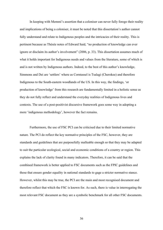In keeping with Memmi's assertion that a coloniser can never fully forego their reality and implications of being a coloniser, it must be noted that this dissertation's author cannot fully understand and relate to Indigenous peoples and the intricacies of their reality. This is pertinent because as Thésée notes of Edward Said, "no production of knowledge can ever ignore or disclaim its author's involvement" (2006, p. 33). This dissertation assumes much of what it holds important for Indigenous needs and values from the literature, some of which is and is not written by Indigenous authors. Indeed, to the best of this author's knowledge, Simmons and Dei are 'settlers' where as Corntassel is Tsalagi (Cherokee) and therefore Indigenous to the South-eastern woodlands of the US. In this way, the findings, 'or production of knowledge' from this research are fundamentally limited in a holistic sense as they do not fully reflect and understand the everyday realities of Indigenous lives and contexts. The use of a post-positivist discursive framework goes some way in adopting a more 'indigenous methodology', however the fact remains.

Furthermore, the use of FSC PCI can be criticised due to their limited normative nature. The PCI do reflect the key normative principles of the FSC, however, they are standards and guidelines that are purposefully malleable enough so that they may be adapted to suit the particular ecological, social and economic conditions of a country or region. This explains the lack of clarity found in many indicators. Therefore, it can be said that the combined framework is better applied to FSC documents such as the FPIC guidelines and those that ensure gender equality in national standards to gage a stricter normative stance. However, whilst this may be true, the PCI are the main and most recognised document and therefore reflect that which the FSC is known for. As such, there is value in interrogating the most relevant FSC document as they are a symbolic benchmark for all other FSC documents.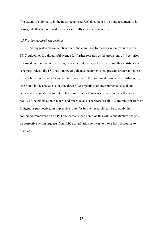The extent of coloniality in the most recognised FSC document is a strong testament to its norms, whether or not this document itself fully elucidates its norms.

## *6.3 Further research suggestions*

As suggested above, application of the combined framework upon revision of the FPIC guidelines is a thoughtful avenue for further research as the provisions of 'free' prior informed consent markedly distinguishes the FSC's respect for IPs from other certification schemes. Indeed, the FSC has a range of guidance documents that present stricter and more fully defined norms which can be interrogated with the combined framework. Furthermore, also noted in the analysis is that the three SFM objectives of environmental, social and economic sustainability are interrelated in that a particular occurrence in one effects the reality of the others at both macro and micro levels. Therefore, as all PCI are relevant from an Indigenous perspective, an impressive route for further research may be to apply the combined framework on all PCI and perhaps then combine this with a quantitative analysis on corrective action requests from FSC accreditation services to move from discourse to practice.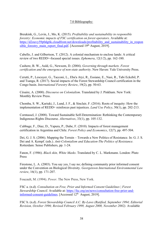## 7.0 Bibliography:

Breukink, G., Levin, J., Mo, K. (2015). *Profitability and sustainability in responsible forestry: Economic impacts of FSC certification on forest operators*. Available at: https://d2ouvy59p0dg6k.cloudfront.net/downloads/profitability\_and\_sustainability\_in\_respon sible\_forestry\_main\_report\_final.pdf. [Accessed  $19<sup>th</sup>$  August, 2019].

Cabello, J. and Gilbertson, T. (2012). A colonial mechanism to enclose lands: A critical review of two REDD+-focused special issues. *Ephemera*, 12(1/2), pp. 162-180.

Cashore, B. W., Auld, G., Newsom, D. (2004). *Governing through markets. Forest certification and the emergence of non-state authority*. New Haven: Yale University Press.

Cerutti, P., Lescuyer, G., Tacconi, L., Eba'a Atyi, R., Essiane, E., Nasi, R., Tabi Eckebil, P. and Tsanga, R. (2017). Social impacts of the Forest Stewardship Council certification in the Congo basin. *International Forestry Review*, 19(2), pp. 50-63.

Césaire, A. (2000). *Discourse on Colonialism*. Translated by J. Pinkham. New York: Monthly Review Press.

Chomba, S. W., Kariuki, J., Lund, J. F., & Sinclair, F. (2016). Roots of inequity: How the implementation of REDD+ reinforces past injustices. *Land Use Policy*, 50(1), pp. 202-213.

Corntassel, J. (2008). Toward Sustainable Self-Determination: Rethinking the Contemporary Indigenous-Rights Discourse. *Alternatives*, 33(1), pp. 105-132.

Cubbage, F., Diaz, D., Yapura, P., Dube, F. (2010). Impacts of forest management certification in Argentina and Chile. *Forest Policy and Economics*, 12(7), pp. 497-504.

Dei, G. J. S. (2006). Mapping the Terrain – Towards a New Politics of Resistance. In: G. J. S. Dei and A. Kempf. (eds.). *Anti-Colonialism and Education-The Politics of Resistance.* Rotterdam: Sense Publishers, pp. 1-24.

Fanon, F. (1986). *Black skin, White Masks*. Translated by C. L. Markmann. London: Pluto Press

Firestone, L. A. (2003). You say yes, I say no; defining community prior informed consent under the Convention on Biological Diversity. *Georgetown International Environmental Law review*, 16(1), pp. 171-207.

Foucault, M. (1994). *Power*. The New Press, New York.

FSC a. (n.d). *Consultation on Free, Prior and Informed Consent Guidelines | Forest Stewardship Council.* Available at: https://fsc.org/en/news/consultation-free-prior-andinformed-consent-guidelines. [Accessed 12<sup>th</sup> August, 2019].

FSC b. (n.d). *Forest Stewardship Council A.C. By-Laws (Ratified, September 1994; Editorial Revision, October 1996; Revised February 1999, August 2000, November 2002).* Available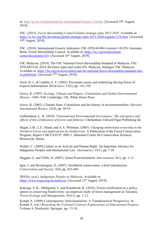at: http://us.fsc.org/download.fsc-international-bylaws.114.htm. [Accessed 19<sup>th</sup> August, 2019].

FSC. (2015). *Forest Stewardship Council-Global strategic plan 2015-2020.* Available at: https://ic.fsc.org/file-download.global-strategic-plan-2015-2020-english.3376.htm. [Accessed 19th August, 2019].

FSC. (2018). International Generic Indicators. FSC-STD-60-004 (version 2-0) EN. Germany, Bonn: Forest Stewardship Council. Available at: https://fsc.org/en/documentcenter/documents/335. [Accessed 16<sup>th</sup> August, 2019].

FSC Malaysia. (2018). The FSC National Forest Stewardship Standard of Malaysia. FSC-STD-MYS-01-2018 All forest types and scales EN. Malaysia, Selangor: FSC Malaysia. Available at: https://fsc.org/en/news/malaysian-fsc-national-forest-stewardship-standard-nfssre-published. [Accessed 17<sup>th</sup> August, 2019].

Geist, H. J., & Lambin, E. F. (2002). Proximate causes and underlying driving forces of tropical deforestation. *BioScience*, *52*(2), pp. 143-150.

Grove, R. (1997). *Ecology, Climate and Empire: Colonialism and Global Environmental History -1400-1940*. Cambridge, UK: White Horse Press.

Grove, R. (2002). Climatic fears: Colonialism and the history of environmentalism. *Harvard International Review*, 23(4), pp. 50-55.

Gulbrandsen, L. H. (2010). *Transnational Environmental Governance: The emergence and effects of the certification of forests and fisheries*. Cheltenham: Edward Elgar Publishing ltd.

Hagan, J.M., L.C. Irland, and A.A. Whitman. (2005). *Changing timberland ownership in the Northern Forest and implications for biodiversity*. A Publication of the Forest Conservation Program, Report # MCCS-FCP- 2005-1, Manomet Center for Conservation Sciences*,*  Brunswick, Maine.

Holder, C. (2009).Culture as an Activity and Human Right: An Important Advance for Indigenous Peoples and International Law*. Alternatives*, 33(1), pp. 7-28.

Huggan, G. and Tiffin, H. (2007). Green Postcolonialism. *Interventions*, 9(1), pp. 1-11.

Igoe, J. and Brockington, D. (2007). Neoliberal conservation: a brief introduction. *Conservation and Society*, 5(4), pp. 432-449.

IWGIA. (n.d.). *Indigenous Peoples in Malaysia.* Available at: https://www.iwgia.org/en/malaysia. [Accessed 12<sup>th</sup> August, 2019].

Kalonga, S. K., Midtgaard, F. and Klanderud, K. (2016). Forest certification as a policy option in conserving biodiveristy: an empirical study of forest management in Tanzania. *Forest Ecology and Management*, 361(1), pp. 1-12.

Kempf A. (2009) Contemporary Anticolonialism: A Transhistorical Perspective. In: Kempf A. (ed.) *Breaching the Colonial Contract-Explorations of Educational Purpose*. Volume 8. Dordrecht: Springer, pp. 13-34.